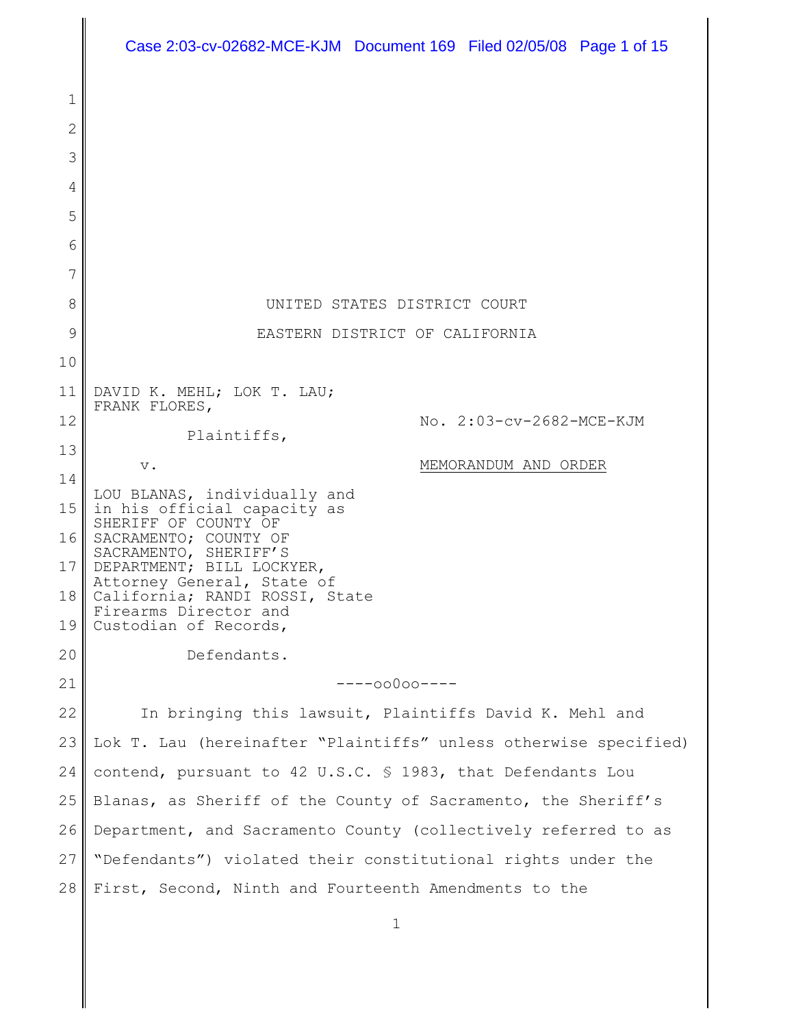|              | Case 2:03-cv-02682-MCE-KJM Document 169 Filed 02/05/08 Page 1 of 15 |
|--------------|---------------------------------------------------------------------|
| $\mathbf 1$  |                                                                     |
| $\mathbf{2}$ |                                                                     |
| 3            |                                                                     |
| 4            |                                                                     |
| 5            |                                                                     |
| 6            |                                                                     |
| 7            |                                                                     |
| 8            | UNITED STATES DISTRICT COURT                                        |
| 9            | EASTERN DISTRICT OF CALIFORNIA                                      |
| 10           |                                                                     |
| 11           | DAVID K. MEHL; LOK T. LAU;<br>FRANK FLORES,                         |
| 12           | No. 2:03-cv-2682-MCE-KJM<br>Plaintiffs,                             |
| 13           | MEMORANDUM AND ORDER<br>$V$ .                                       |
| 14           | LOU BLANAS, individually and                                        |
| 15           | in his official capacity as<br>SHERIFF OF COUNTY OF                 |
| 16           | SACRAMENTO; COUNTY OF<br>SACRAMENTO, SHERIFF'S                      |
| 17           | DEPARTMENT; BILL LOCKYER,<br>Attorney General, State of             |
| 18           | California; RANDI ROSSI, State<br>Firearms Director and             |
| 19           | Custodian of Records,                                               |
| 20           | Defendants.                                                         |
| 21           | $---00000---$                                                       |
| 22           | In bringing this lawsuit, Plaintiffs David K. Mehl and              |
| 23           | Lok T. Lau (hereinafter "Plaintiffs" unless otherwise specified)    |
| 24           | contend, pursuant to 42 U.S.C. § 1983, that Defendants Lou          |
| 25           | Blanas, as Sheriff of the County of Sacramento, the Sheriff's       |
| 26           | Department, and Sacramento County (collectively referred to as      |
| 27           | "Defendants") violated their constitutional rights under the        |
| 28           | First, Second, Ninth and Fourteenth Amendments to the               |

1

║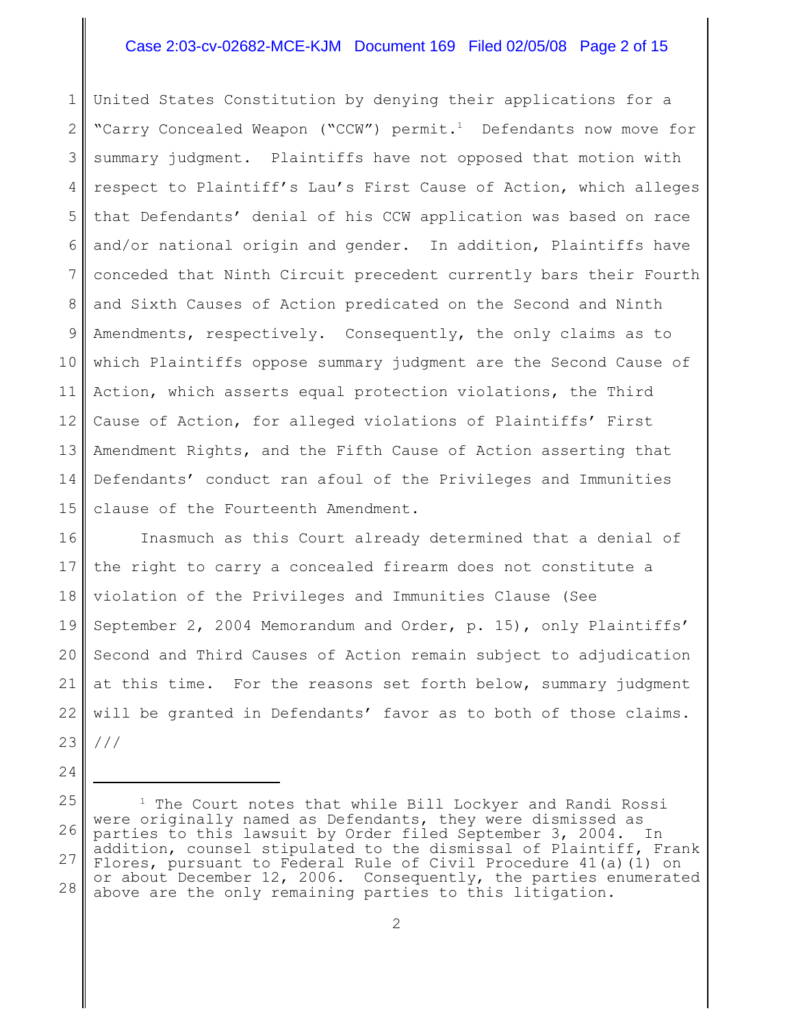## Case 2:03-cv-02682-MCE-KJM Document 169 Filed 02/05/08 Page 2 of 15

1 2 3 4 5 6 7 8 9 10 11 12 13 14 15 United States Constitution by denying their applications for a "Carry Concealed Weapon ("CCW") permit.<sup>1</sup> Defendants now move for summary judgment. Plaintiffs have not opposed that motion with respect to Plaintiff's Lau's First Cause of Action, which alleges that Defendants' denial of his CCW application was based on race and/or national origin and gender. In addition, Plaintiffs have conceded that Ninth Circuit precedent currently bars their Fourth and Sixth Causes of Action predicated on the Second and Ninth Amendments, respectively. Consequently, the only claims as to which Plaintiffs oppose summary judgment are the Second Cause of Action, which asserts equal protection violations, the Third Cause of Action, for alleged violations of Plaintiffs' First Amendment Rights, and the Fifth Cause of Action asserting that Defendants' conduct ran afoul of the Privileges and Immunities clause of the Fourteenth Amendment.

16 17 18 19 20 21 22 23 Inasmuch as this Court already determined that a denial of the right to carry a concealed firearm does not constitute a violation of the Privileges and Immunities Clause (See September 2, 2004 Memorandum and Order, p. 15), only Plaintiffs' Second and Third Causes of Action remain subject to adjudication at this time. For the reasons set forth below, summary judgment will be granted in Defendants' favor as to both of those claims. ///

<sup>25</sup> 26 27 28  $1$  The Court notes that while Bill Lockyer and Randi Rossi were originally named as Defendants, they were dismissed as parties to this lawsuit by Order filed September 3, 2004. In addition, counsel stipulated to the dismissal of Plaintiff, Frank Flores, pursuant to Federal Rule of Civil Procedure 41(a)(1) on or about December 12, 2006. Consequently, the parties enumerated above are the only remaining parties to this litigation.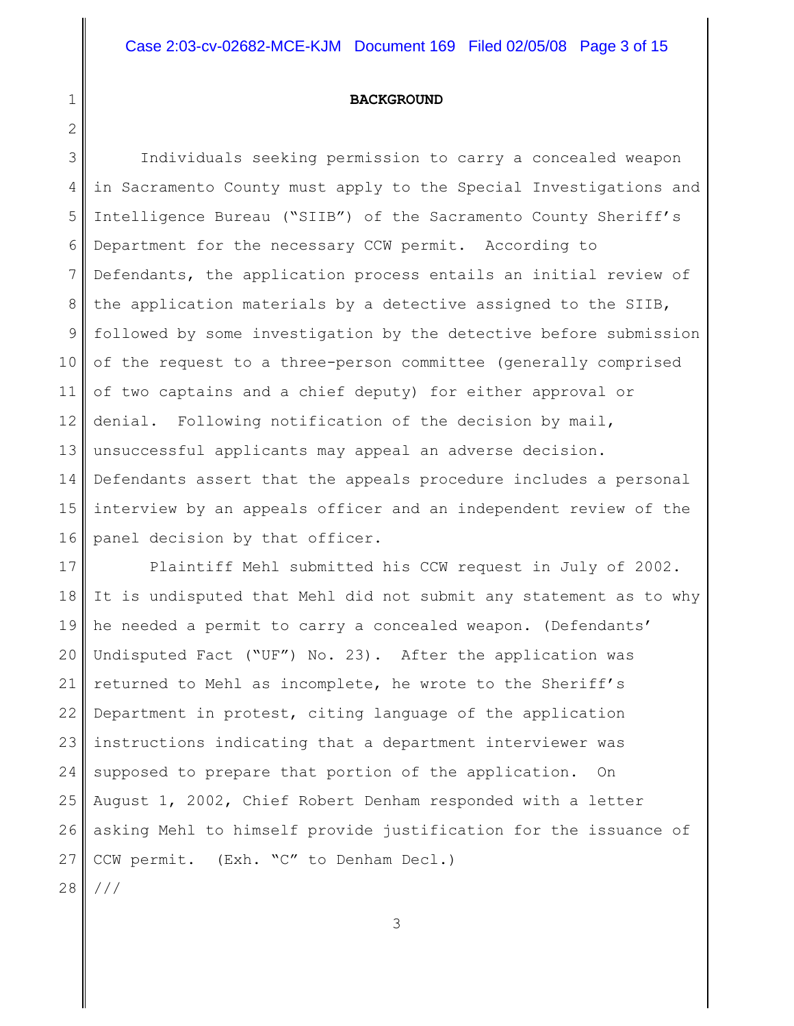#### **BACKGROUND**

1

2

3 4 5 6 7 8 9 10 11 12 13 14 15 16 Individuals seeking permission to carry a concealed weapon in Sacramento County must apply to the Special Investigations and Intelligence Bureau ("SIIB") of the Sacramento County Sheriff's Department for the necessary CCW permit. According to Defendants, the application process entails an initial review of the application materials by a detective assigned to the SIIB, followed by some investigation by the detective before submission of the request to a three-person committee (generally comprised of two captains and a chief deputy) for either approval or denial. Following notification of the decision by mail, unsuccessful applicants may appeal an adverse decision. Defendants assert that the appeals procedure includes a personal interview by an appeals officer and an independent review of the panel decision by that officer.

17 18 19 20 21 22 23 24 25 26 27 28 Plaintiff Mehl submitted his CCW request in July of 2002. It is undisputed that Mehl did not submit any statement as to why he needed a permit to carry a concealed weapon. (Defendants' Undisputed Fact ("UF") No. 23). After the application was returned to Mehl as incomplete, he wrote to the Sheriff's Department in protest, citing language of the application instructions indicating that a department interviewer was supposed to prepare that portion of the application. On August 1, 2002, Chief Robert Denham responded with a letter asking Mehl to himself provide justification for the issuance of CCW permit. (Exh. "C" to Denham Decl.) ///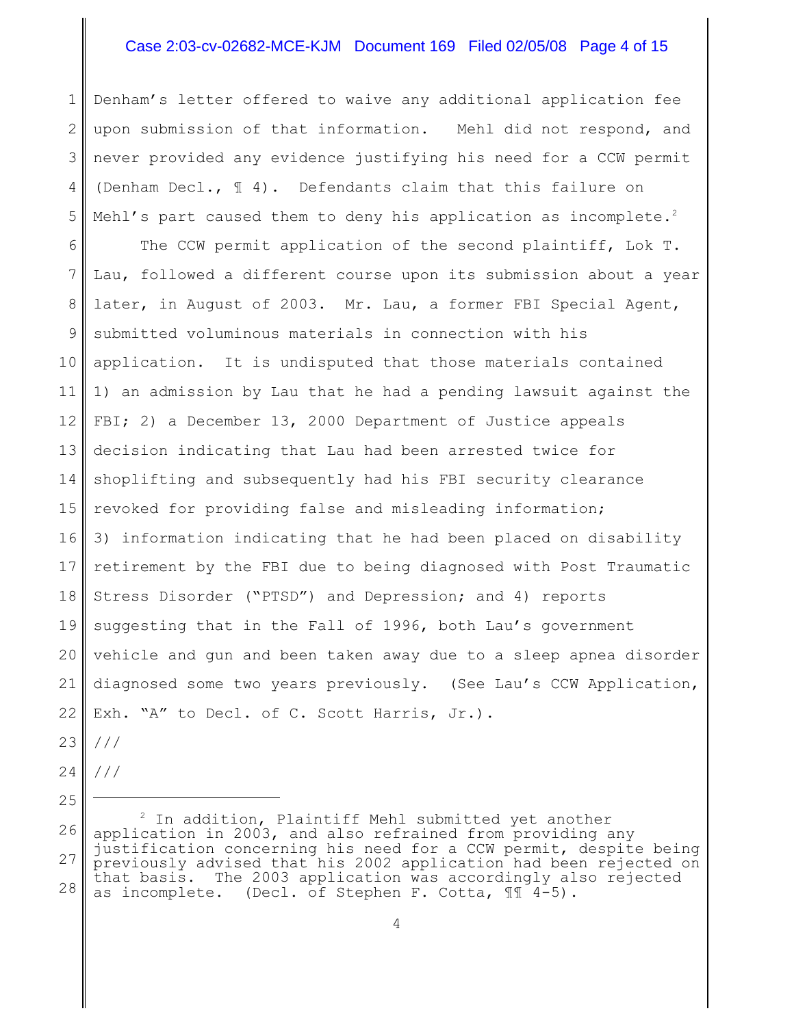## Case 2:03-cv-02682-MCE-KJM Document 169 Filed 02/05/08 Page 4 of 15

1 2 3 4 5 6 7 8 9 10 11 12 13 14 15 16 17 18 19 20 21 22 Denham's letter offered to waive any additional application fee upon submission of that information. Mehl did not respond, and never provided any evidence justifying his need for a CCW permit (Denham Decl., ¶ 4). Defendants claim that this failure on Mehl's part caused them to deny his application as incomplete.<sup>2</sup> The CCW permit application of the second plaintiff, Lok T. Lau, followed a different course upon its submission about a year later, in August of 2003. Mr. Lau, a former FBI Special Agent, submitted voluminous materials in connection with his application. It is undisputed that those materials contained 1) an admission by Lau that he had a pending lawsuit against the FBI; 2) a December 13, 2000 Department of Justice appeals decision indicating that Lau had been arrested twice for shoplifting and subsequently had his FBI security clearance revoked for providing false and misleading information; 3) information indicating that he had been placed on disability retirement by the FBI due to being diagnosed with Post Traumatic Stress Disorder ("PTSD") and Depression; and 4) reports suggesting that in the Fall of 1996, both Lau's government vehicle and gun and been taken away due to a sleep apnea disorder diagnosed some two years previously. (See Lau's CCW Application, Exh. "A" to Decl. of C. Scott Harris, Jr.).

- 23 ///
- 24 ///

<sup>26</sup> 27 28  $2$  In addition, Plaintiff Mehl submitted yet another application in 2003, and also refrained from providing any justification concerning his need for a CCW permit, despite being previously advised that his 2002 application had been rejected on that basis. The 2003 application was accordingly also rejected as incomplete. (Decl. of Stephen F. Cotta, ¶¶ 4-5).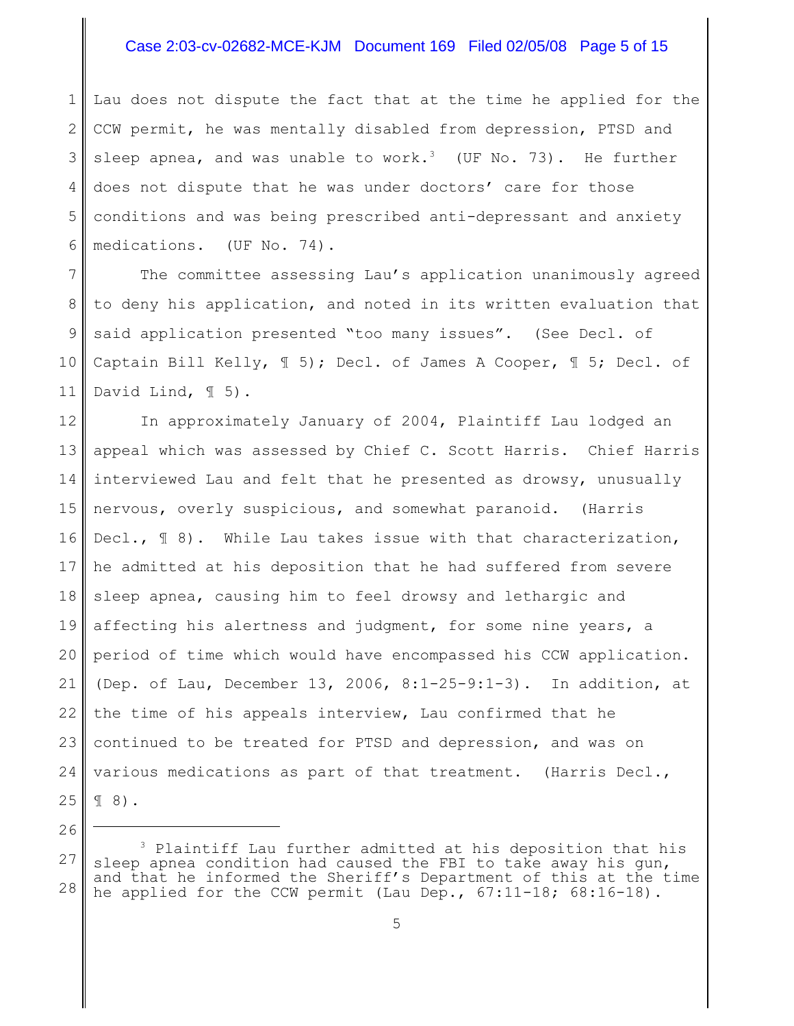## Case 2:03-cv-02682-MCE-KJM Document 169 Filed 02/05/08 Page 5 of 15

1 2 3 4 5 6 Lau does not dispute the fact that at the time he applied for the CCW permit, he was mentally disabled from depression, PTSD and sleep apnea, and was unable to work.<sup>3</sup> (UF No. 73). He further does not dispute that he was under doctors' care for those conditions and was being prescribed anti-depressant and anxiety medications. (UF No. 74).

7 8 9 10 11 The committee assessing Lau's application unanimously agreed to deny his application, and noted in its written evaluation that said application presented "too many issues". (See Decl. of Captain Bill Kelly, ¶ 5); Decl. of James A Cooper, ¶ 5; Decl. of David Lind,  $\mathbb{I}$  5).

12 13 14 15 16 17 18 19 20 21 22 23 24 25 In approximately January of 2004, Plaintiff Lau lodged an appeal which was assessed by Chief C. Scott Harris. Chief Harris interviewed Lau and felt that he presented as drowsy, unusually nervous, overly suspicious, and somewhat paranoid. (Harris Decl.,  $\mathbb{I}$  8). While Lau takes issue with that characterization, he admitted at his deposition that he had suffered from severe sleep apnea, causing him to feel drowsy and lethargic and affecting his alertness and judgment, for some nine years, a period of time which would have encompassed his CCW application. (Dep. of Lau, December 13, 2006, 8:1-25-9:1-3). In addition, at the time of his appeals interview, Lau confirmed that he continued to be treated for PTSD and depression, and was on various medications as part of that treatment. (Harris Decl., ¶ 8).

<sup>27</sup> 28  $3$  Plaintiff Lau further admitted at his deposition that his sleep apnea condition had caused the FBI to take away his gun, and that he informed the Sheriff's Department of this at the time he applied for the CCW permit (Lau Dep.,  $67:11-18$ ;  $68:16-18$ ).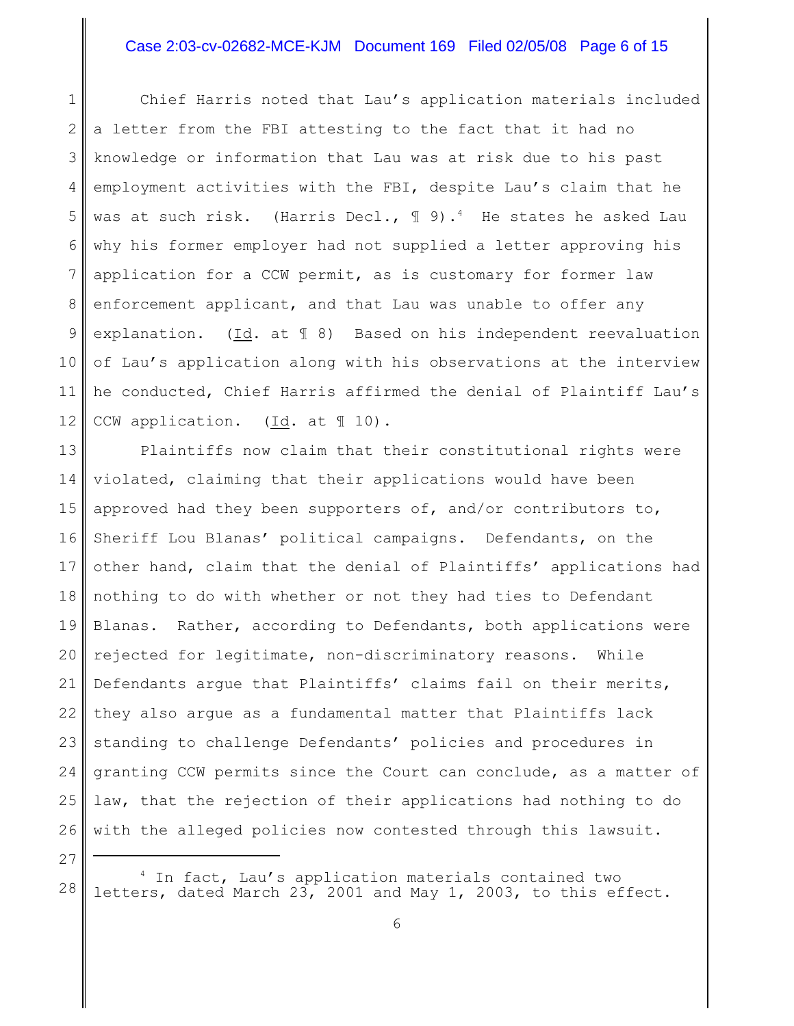# Case 2:03-cv-02682-MCE-KJM Document 169 Filed 02/05/08 Page 6 of 15

1 2 3 4 5 6 7 8 9 10 11 12 Chief Harris noted that Lau's application materials included a letter from the FBI attesting to the fact that it had no knowledge or information that Lau was at risk due to his past employment activities with the FBI, despite Lau's claim that he was at such risk. (Harris Decl.,  $\mathbb{I}$  9).<sup>4</sup> He states he asked Lau why his former employer had not supplied a letter approving his application for a CCW permit, as is customary for former law enforcement applicant, and that Lau was unable to offer any explanation. (Id. at ¶ 8) Based on his independent reevaluation of Lau's application along with his observations at the interview he conducted, Chief Harris affirmed the denial of Plaintiff Lau's CCW application. (Id. at 10).

13 14 15 16 17 18 19 20 21 22 23 24 25 26 Plaintiffs now claim that their constitutional rights were violated, claiming that their applications would have been approved had they been supporters of, and/or contributors to, Sheriff Lou Blanas' political campaigns. Defendants, on the other hand, claim that the denial of Plaintiffs' applications had nothing to do with whether or not they had ties to Defendant Blanas. Rather, according to Defendants, both applications were rejected for legitimate, non-discriminatory reasons. While Defendants argue that Plaintiffs' claims fail on their merits, they also argue as a fundamental matter that Plaintiffs lack standing to challenge Defendants' policies and procedures in granting CCW permits since the Court can conclude, as a matter of law, that the rejection of their applications had nothing to do with the alleged policies now contested through this lawsuit.

28 <sup>4</sup> In fact, Lau's application materials contained two letters, dated March 23, 2001 and May 1, 2003, to this effect.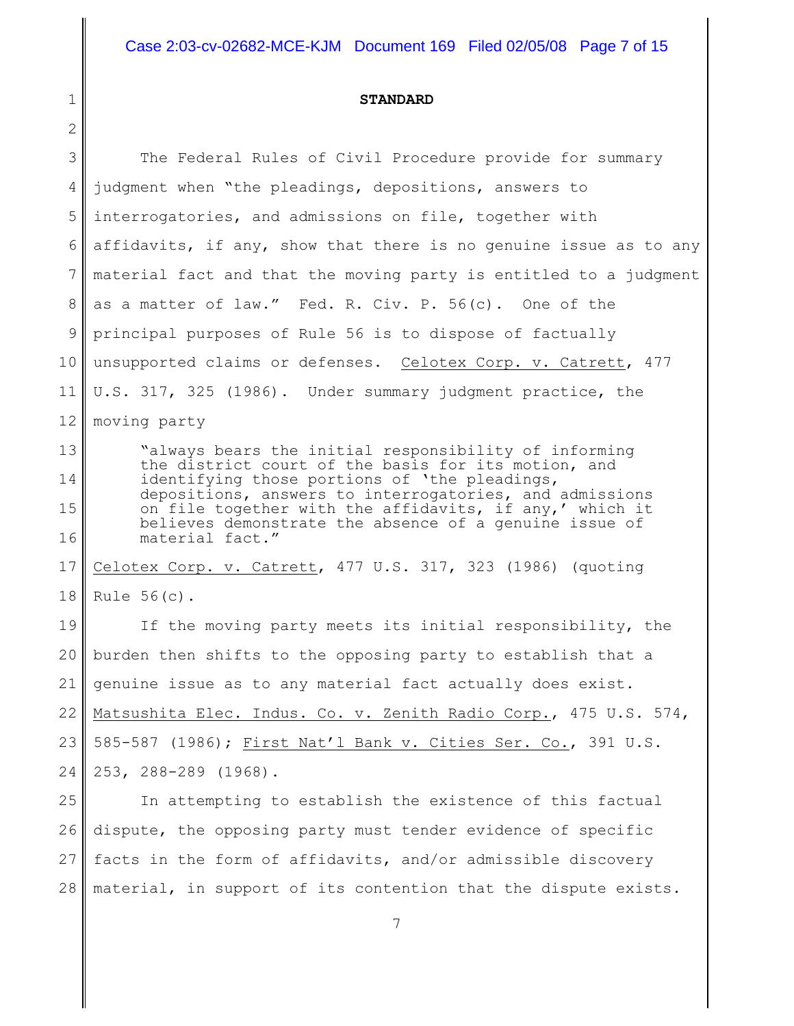#### **STANDARD**

1

2 3 4 5 6 7 8 9 10 11 12 13 14 15 16 17 18 19 20 21 22 23 24 25 26 27 The Federal Rules of Civil Procedure provide for summary judgment when "the pleadings, depositions, answers to interrogatories, and admissions on file, together with affidavits, if any, show that there is no genuine issue as to any material fact and that the moving party is entitled to a judgment as a matter of law." Fed. R. Civ. P. 56(c). One of the principal purposes of Rule 56 is to dispose of factually unsupported claims or defenses. Celotex Corp. v. Catrett, 477 U.S. 317, 325 (1986). Under summary judgment practice, the moving party "always bears the initial responsibility of informing the district court of the basis for its motion, and identifying those portions of 'the pleadings, depositions, answers to interrogatories, and admissions on file together with the affidavits, if any,' which it believes demonstrate the absence of a genuine issue of material fact." Celotex Corp. v. Catrett, 477 U.S. 317, 323 (1986) (quoting Rule 56(c). If the moving party meets its initial responsibility, the burden then shifts to the opposing party to establish that a genuine issue as to any material fact actually does exist. Matsushita Elec. Indus. Co. v. Zenith Radio Corp., 475 U.S. 574, 585-587 (1986); First Nat'l Bank v. Cities Ser. Co., 391 U.S. 253, 288-289 (1968). In attempting to establish the existence of this factual dispute, the opposing party must tender evidence of specific facts in the form of affidavits, and/or admissible discovery

28 material, in support of its contention that the dispute exists.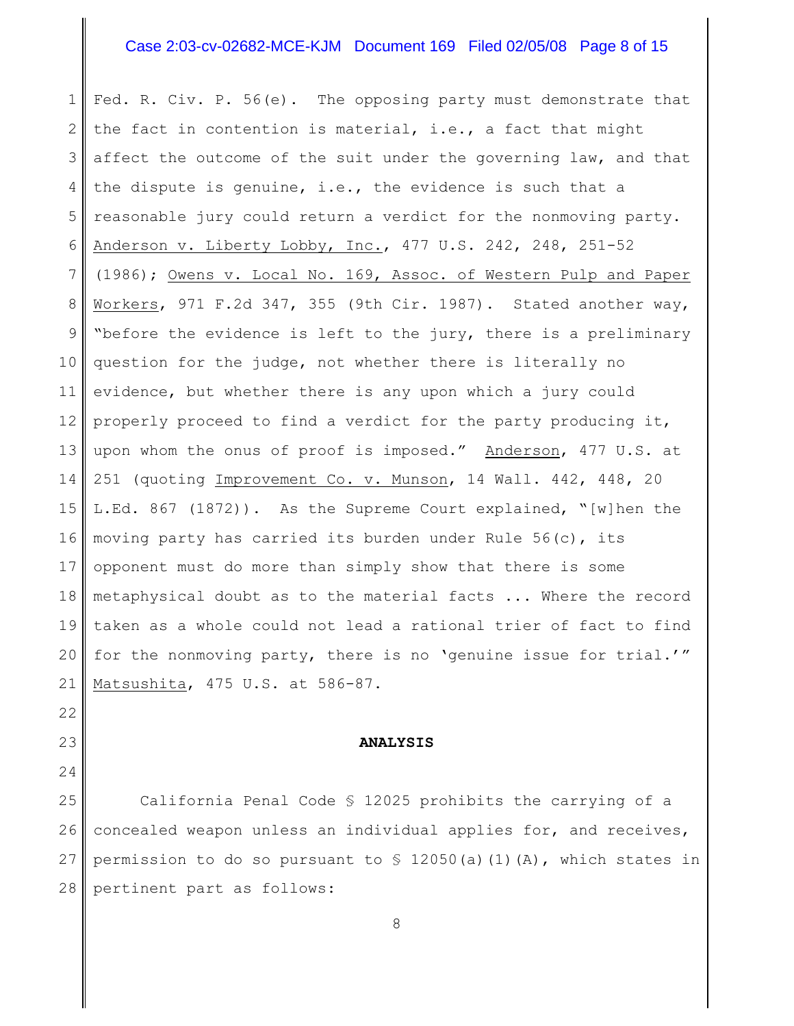# Case 2:03-cv-02682-MCE-KJM Document 169 Filed 02/05/08 Page 8 of 15

1 2 3 4 5 6 7 8 9 10 11 12 13 14 15 16 17 18 19 20 21 Fed. R. Civ. P. 56(e). The opposing party must demonstrate that the fact in contention is material, i.e., a fact that might affect the outcome of the suit under the governing law, and that the dispute is genuine, i.e., the evidence is such that a reasonable jury could return a verdict for the nonmoving party. Anderson v. Liberty Lobby, Inc., 477 U.S. 242, 248, 251-52 (1986); Owens v. Local No. 169, Assoc. of Western Pulp and Paper Workers, 971 F.2d 347, 355 (9th Cir. 1987). Stated another way, "before the evidence is left to the jury, there is a preliminary question for the judge, not whether there is literally no evidence, but whether there is any upon which a jury could properly proceed to find a verdict for the party producing it, upon whom the onus of proof is imposed." Anderson, 477 U.S. at 251 (quoting Improvement Co. v. Munson, 14 Wall. 442, 448, 20 L.Ed. 867 (1872)). As the Supreme Court explained, "[w]hen the moving party has carried its burden under Rule 56(c), its opponent must do more than simply show that there is some metaphysical doubt as to the material facts ... Where the record taken as a whole could not lead a rational trier of fact to find for the nonmoving party, there is no 'genuine issue for trial.'" Matsushita, 475 U.S. at 586-87.

### **ANALYSIS**

22

23

24

25 26 27 28 California Penal Code § 12025 prohibits the carrying of a concealed weapon unless an individual applies for, and receives, permission to do so pursuant to  $\frac{1}{2050(a)(1)(A)}$ , which states in pertinent part as follows: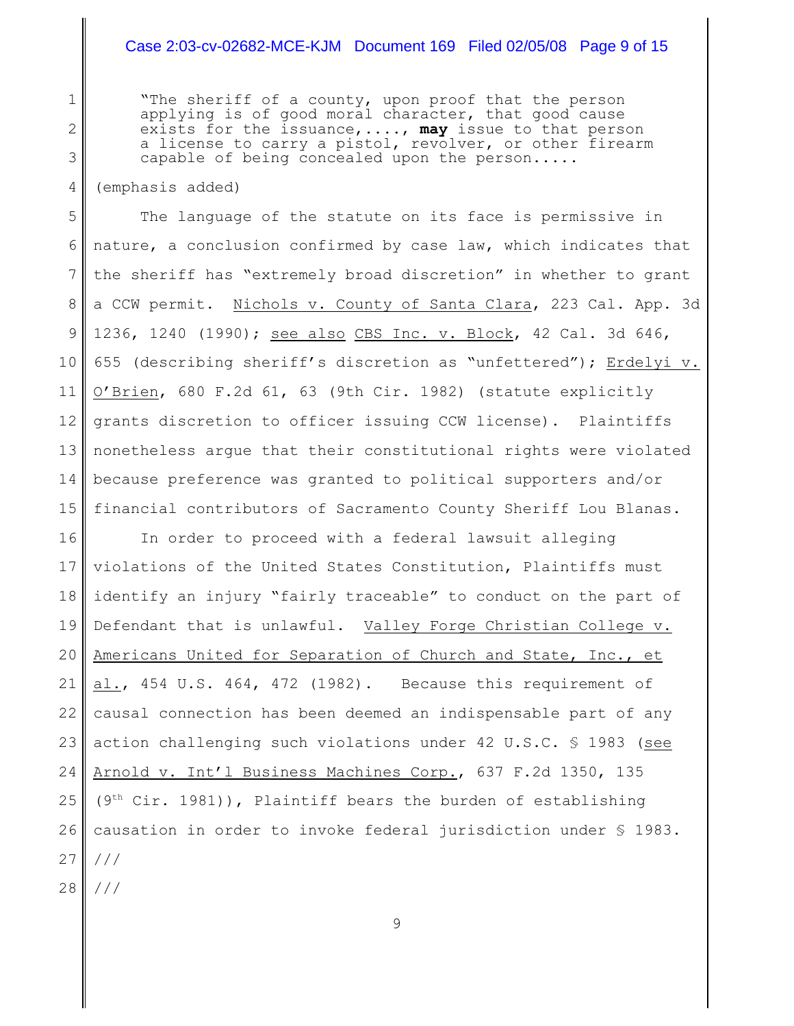### Case 2:03-cv-02682-MCE-KJM Document 169 Filed 02/05/08 Page 9 of 15

"The sheriff of a county, upon proof that the person applying is of good moral character, that good cause exists for the issuance,...., **may** issue to that person a license to carry a pistol, revolver, or other firearm capable of being concealed upon the person.....

(emphasis added)

1

2

3

4

5 6 7 8 9 10 11 12 13 14 15 The language of the statute on its face is permissive in nature, a conclusion confirmed by case law, which indicates that the sheriff has "extremely broad discretion" in whether to grant a CCW permit. Nichols v. County of Santa Clara, 223 Cal. App. 3d 1236, 1240 (1990); see also CBS Inc. v. Block, 42 Cal. 3d 646, 655 (describing sheriff's discretion as "unfettered"); Erdelyi v. O'Brien, 680 F.2d 61, 63 (9th Cir. 1982) (statute explicitly grants discretion to officer issuing CCW license). Plaintiffs nonetheless argue that their constitutional rights were violated because preference was granted to political supporters and/or financial contributors of Sacramento County Sheriff Lou Blanas.

16 17 18 19 20 21 22 23 24 25 26 27 28 In order to proceed with a federal lawsuit alleging violations of the United States Constitution, Plaintiffs must identify an injury "fairly traceable" to conduct on the part of Defendant that is unlawful. Valley Forge Christian College v. Americans United for Separation of Church and State, Inc., et al., 454 U.S. 464, 472 (1982). Because this requirement of causal connection has been deemed an indispensable part of any action challenging such violations under 42 U.S.C. § 1983 (see Arnold v. Int'l Business Machines Corp., 637 F.2d 1350, 135  $(9<sup>th</sup> Cir. 1981))$ , Plaintiff bears the burden of establishing causation in order to invoke federal jurisdiction under § 1983. /// ///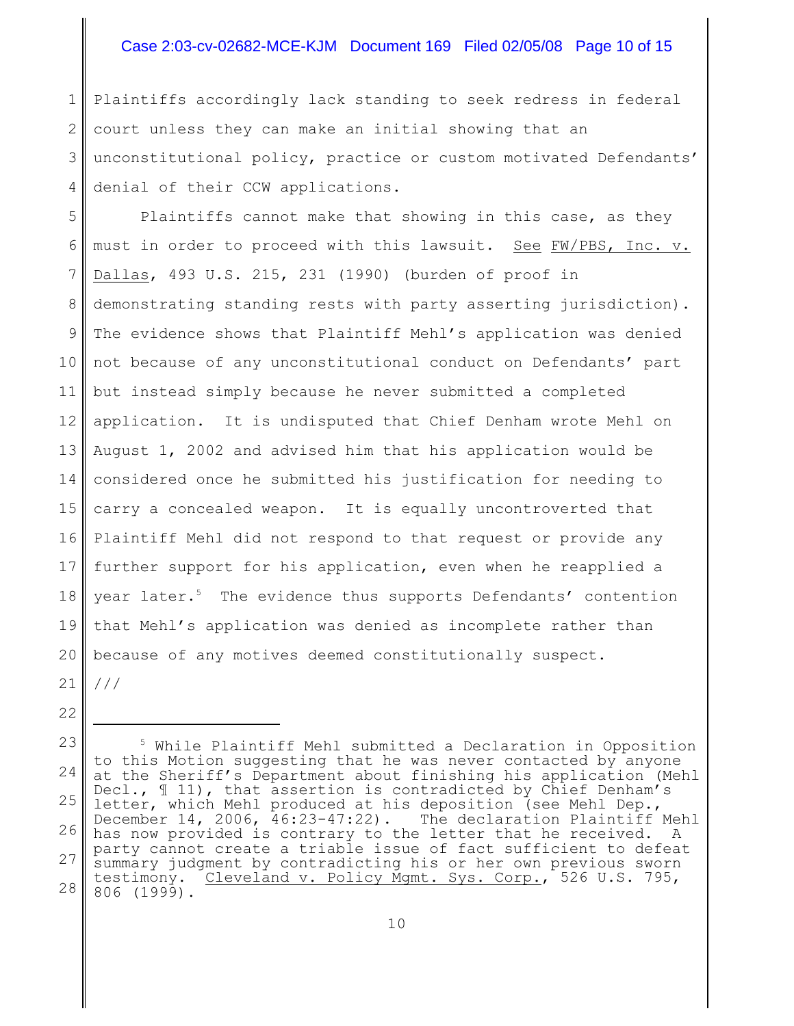# Case 2:03-cv-02682-MCE-KJM Document 169 Filed 02/05/08 Page 10 of 15

1 2 3 4 Plaintiffs accordingly lack standing to seek redress in federal court unless they can make an initial showing that an unconstitutional policy, practice or custom motivated Defendants' denial of their CCW applications.

5 6 7 8 9 10 11 12 13 14 15 16 17 18 19 20 21 Plaintiffs cannot make that showing in this case, as they must in order to proceed with this lawsuit. See FW/PBS, Inc. v. Dallas, 493 U.S. 215, 231 (1990) (burden of proof in demonstrating standing rests with party asserting jurisdiction). The evidence shows that Plaintiff Mehl's application was denied not because of any unconstitutional conduct on Defendants' part but instead simply because he never submitted a completed application. It is undisputed that Chief Denham wrote Mehl on August 1, 2002 and advised him that his application would be considered once he submitted his justification for needing to carry a concealed weapon. It is equally uncontroverted that Plaintiff Mehl did not respond to that request or provide any further support for his application, even when he reapplied a year later.<sup>5</sup> The evidence thus supports Defendants' contention that Mehl's application was denied as incomplete rather than because of any motives deemed constitutionally suspect. ///

<sup>23</sup> 24 25 26 27 28  $5$  While Plaintiff Mehl submitted a Declaration in Opposition to this Motion suggesting that he was never contacted by anyone at the Sheriff's Department about finishing his application (Mehl Decl.,  $\mathbb{I}$  11), that assertion is contradicted by Chief Denham's letter, which Mehl produced at his deposition (see Mehl Dep., December 14, 2006, 46:23-47:22). The declaration Plaintiff Mehl has now provided is contrary to the letter that he received. A party cannot create a triable issue of fact sufficient to defeat summary judgment by contradicting his or her own previous sworn testimony. Cleveland v. Policy Mgmt. Sys. Corp., 526 U.S. 795, 806 (1999).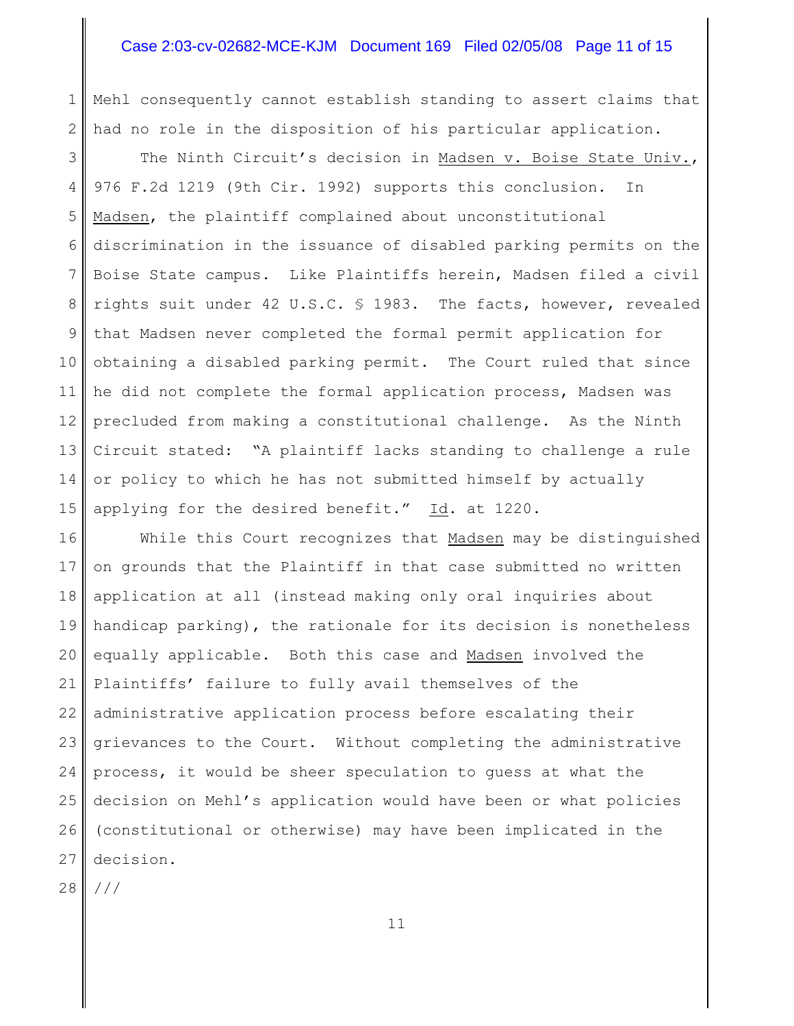# Case 2:03-cv-02682-MCE-KJM Document 169 Filed 02/05/08 Page 11 of 15

1 2 Mehl consequently cannot establish standing to assert claims that had no role in the disposition of his particular application.

3 4 5 6 7 8 9 10 11 12 13 14 15 The Ninth Circuit's decision in Madsen v. Boise State Univ., 976 F.2d 1219 (9th Cir. 1992) supports this conclusion. In Madsen, the plaintiff complained about unconstitutional discrimination in the issuance of disabled parking permits on the Boise State campus. Like Plaintiffs herein, Madsen filed a civil rights suit under 42 U.S.C. § 1983. The facts, however, revealed that Madsen never completed the formal permit application for obtaining a disabled parking permit. The Court ruled that since he did not complete the formal application process, Madsen was precluded from making a constitutional challenge. As the Ninth Circuit stated: "A plaintiff lacks standing to challenge a rule or policy to which he has not submitted himself by actually applying for the desired benefit." Id. at 1220.

16 17 18 19 20 21 22 23 24 25 26 27 While this Court recognizes that Madsen may be distinguished on grounds that the Plaintiff in that case submitted no written application at all (instead making only oral inquiries about handicap parking), the rationale for its decision is nonetheless equally applicable. Both this case and Madsen involved the Plaintiffs' failure to fully avail themselves of the administrative application process before escalating their grievances to the Court. Without completing the administrative process, it would be sheer speculation to guess at what the decision on Mehl's application would have been or what policies (constitutional or otherwise) may have been implicated in the decision.

28 ///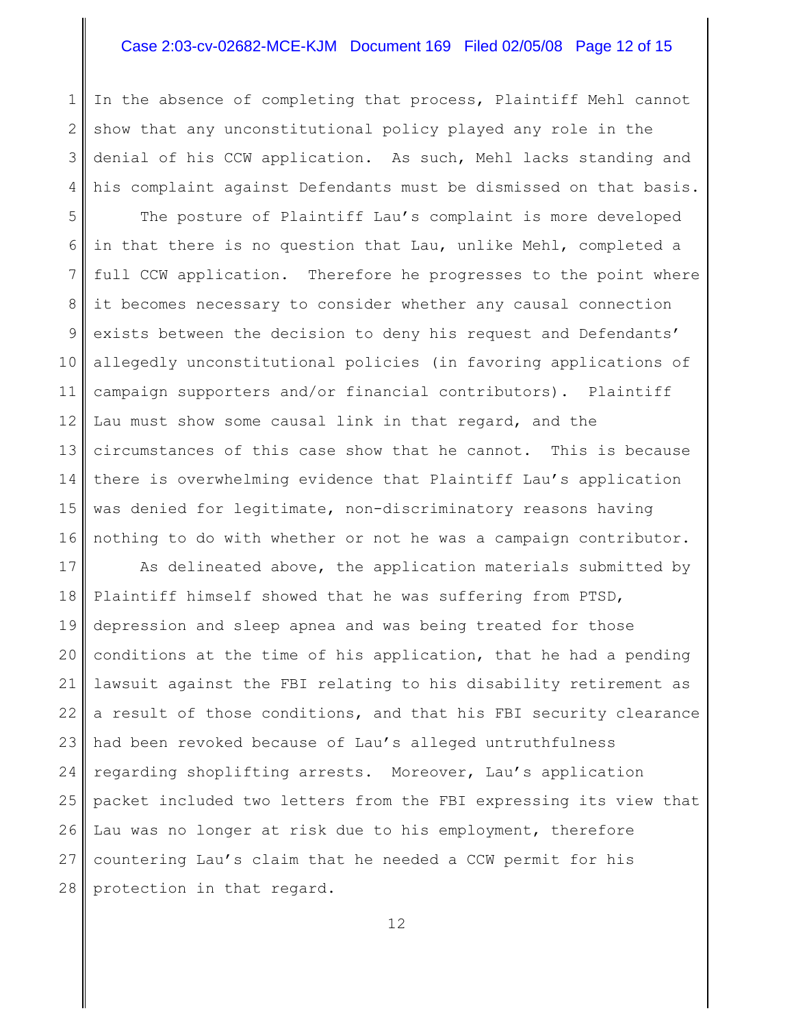### Case 2:03-cv-02682-MCE-KJM Document 169 Filed 02/05/08 Page 12 of 15

1 2 3 4 In the absence of completing that process, Plaintiff Mehl cannot show that any unconstitutional policy played any role in the denial of his CCW application. As such, Mehl lacks standing and his complaint against Defendants must be dismissed on that basis.

5 6 7 8 9 10 11 12 13 14 15 16 The posture of Plaintiff Lau's complaint is more developed in that there is no question that Lau, unlike Mehl, completed a full CCW application. Therefore he progresses to the point where it becomes necessary to consider whether any causal connection exists between the decision to deny his request and Defendants' allegedly unconstitutional policies (in favoring applications of campaign supporters and/or financial contributors). Plaintiff Lau must show some causal link in that regard, and the circumstances of this case show that he cannot. This is because there is overwhelming evidence that Plaintiff Lau's application was denied for legitimate, non-discriminatory reasons having nothing to do with whether or not he was a campaign contributor.

17 18 19 20 21 22 23 24 25 26 27 28 As delineated above, the application materials submitted by Plaintiff himself showed that he was suffering from PTSD, depression and sleep apnea and was being treated for those conditions at the time of his application, that he had a pending lawsuit against the FBI relating to his disability retirement as a result of those conditions, and that his FBI security clearance had been revoked because of Lau's alleged untruthfulness regarding shoplifting arrests. Moreover, Lau's application packet included two letters from the FBI expressing its view that Lau was no longer at risk due to his employment, therefore countering Lau's claim that he needed a CCW permit for his protection in that regard.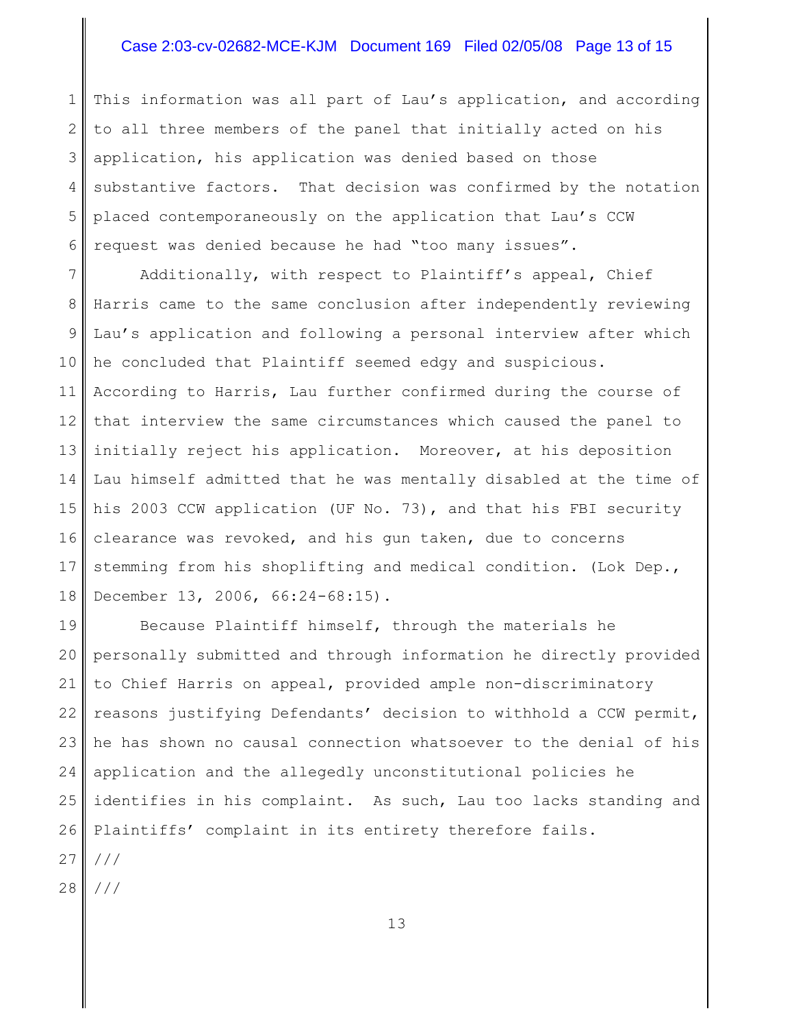### Case 2:03-cv-02682-MCE-KJM Document 169 Filed 02/05/08 Page 13 of 15

1 2 3 4 5 6 This information was all part of Lau's application, and according to all three members of the panel that initially acted on his application, his application was denied based on those substantive factors. That decision was confirmed by the notation placed contemporaneously on the application that Lau's CCW request was denied because he had "too many issues".

7 8 9 10 11 12 13 14 15 16 17 18 Additionally, with respect to Plaintiff's appeal, Chief Harris came to the same conclusion after independently reviewing Lau's application and following a personal interview after which he concluded that Plaintiff seemed edgy and suspicious. According to Harris, Lau further confirmed during the course of that interview the same circumstances which caused the panel to initially reject his application. Moreover, at his deposition Lau himself admitted that he was mentally disabled at the time of his 2003 CCW application (UF No. 73), and that his FBI security clearance was revoked, and his gun taken, due to concerns stemming from his shoplifting and medical condition. (Lok Dep., December 13, 2006, 66:24-68:15).

19 20 21 22 23 24 25 26 27 Because Plaintiff himself, through the materials he personally submitted and through information he directly provided to Chief Harris on appeal, provided ample non-discriminatory reasons justifying Defendants' decision to withhold a CCW permit, he has shown no causal connection whatsoever to the denial of his application and the allegedly unconstitutional policies he identifies in his complaint. As such, Lau too lacks standing and Plaintiffs' complaint in its entirety therefore fails. ///

28 ///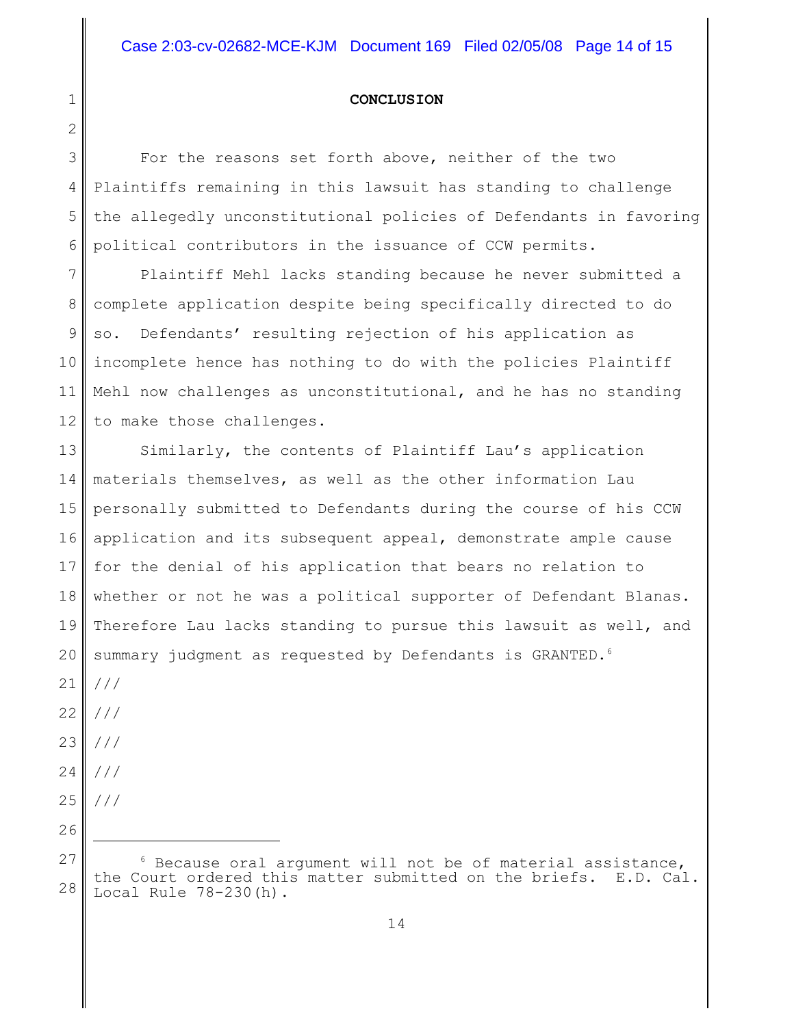#### **CONCLUSION**

3 4 5 6 For the reasons set forth above, neither of the two Plaintiffs remaining in this lawsuit has standing to challenge the allegedly unconstitutional policies of Defendants in favoring political contributors in the issuance of CCW permits.

7 8 9 10 11 12 Plaintiff Mehl lacks standing because he never submitted a complete application despite being specifically directed to do so. Defendants' resulting rejection of his application as incomplete hence has nothing to do with the policies Plaintiff Mehl now challenges as unconstitutional, and he has no standing to make those challenges.

13 14 15 16 17 18 19 20 21 Similarly, the contents of Plaintiff Lau's application materials themselves, as well as the other information Lau personally submitted to Defendants during the course of his CCW application and its subsequent appeal, demonstrate ample cause for the denial of his application that bears no relation to whether or not he was a political supporter of Defendant Blanas. Therefore Lau lacks standing to pursue this lawsuit as well, and summary judgment as requested by Defendants is GRANTED.<sup>6</sup> ///

22 ///

1

2

- 23 ///
- 24 ///

26

25 ///

<sup>27</sup> 28  $6$  Because oral argument will not be of material assistance,<br>ourt ordered this matter submitted on the briefs. E.D. Cal. the Court ordered this matter submitted on the briefs. Local Rule 78-230(h).